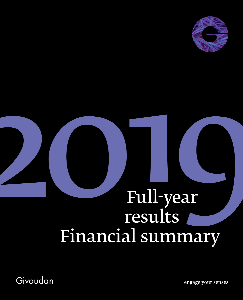

# **2019**<br>Full-year<br>results<br>Financial summary Full-year<br>results Financial summary

Givaudan

engage your senses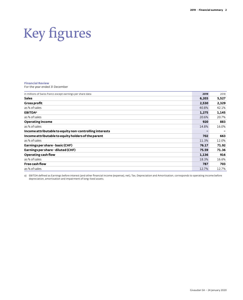## Key figures

### **Financial Review**

For the year ended 31 December

| in millions of Swiss francs except earnings per share data | 2019  | 2018  |
|------------------------------------------------------------|-------|-------|
| <b>Sales</b>                                               | 6,203 | 5,527 |
| <b>Gross profit</b>                                        | 2,530 | 2,329 |
| as % of sales                                              | 40.8% | 42.1% |
| <b>EBITDA</b> <sup>a</sup>                                 | 1,275 | 1,145 |
| as % of sales                                              | 20.6% | 20.7% |
| <b>Operating income</b>                                    | 920   | 883   |
| as % of sales                                              | 14.8% | 16.0% |
| Income attributable to equity non-controlling interests    |       |       |
| Income attributable to equity holders of the parent        | 702   | 663   |
| as % of sales                                              | 11.3% | 12.0% |
| Earnings per share - basic (CHF)                           | 76.17 | 71.92 |
| Earnings per share - diluted (CHF)                         | 75.59 | 71.36 |
| Operating cash flow                                        | 1,136 | 916   |
| as % of sales                                              | 18.3% | 16.6% |
| Free cash flow                                             | 787   | 703   |
| as % of sales                                              | 12.7% | 12.7% |

a) EBITDA defined as Earnings before interest (and other financial income (expense), net), Tax, Depreciation and Amortisation, corresponds to operating income before depreciation, amortisation and impairment of long-lived assets.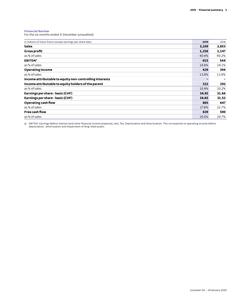### **Financial Review**

For the six months ended 31 December (unaudited)

| in millions of Swiss francs except earnings per share data | 2019  | 2018  |
|------------------------------------------------------------|-------|-------|
| <b>Sales</b>                                               | 3,109 | 2,853 |
| <b>Gross profit</b>                                        | 1,256 | 1,147 |
| as % of sales                                              | 40.4% | 40.2% |
| <b>EBITDA</b> <sup>a</sup>                                 | 615   | 544   |
| as % of sales                                              | 19.8% | 19.1% |
| <b>Operating income</b>                                    | 429   | 394   |
| as % of sales                                              | 13.8% | 13.8% |
| Income attributable to equity non-controlling interests    |       |       |
| Income attributable to equity holders of the parent        | 322   | 292   |
| as % of sales                                              | 10.4% | 10.2% |
| Earnings per share - basic (CHF)                           | 34.93 | 31.66 |
| Earnings per share - basic (CHF)                           | 34.65 | 31.52 |
| Operating cash flow                                        | 865   | 647   |
| as % of sales                                              | 27.8% | 22.7% |
| Free cash flow                                             | 639   | 590   |
| as % of sales                                              | 20.6% | 20.7% |

a) EBITDA: Earnings Before Interest (and other financial income (expense), net), Tax, Depreciation and Amortisation. This corresponds to operating income before<br>depreciation, amortisation and impairment of long-lived asset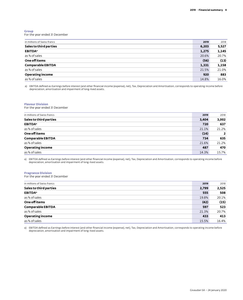### **Group**

For the year ended 31 December

| in millions of Swiss francs | 2019  | 2018  |
|-----------------------------|-------|-------|
| Sales to third parties      | 6,203 | 5,527 |
| <b>EBITDA</b> <sup>a</sup>  | 1,275 | 1,145 |
| as % of sales               | 20.6% | 20.7% |
| One off items               | (56)  | (13)  |
| <b>Comparable EBITDA</b>    | 1,331 | 1,158 |
| as % of sales               | 21.5% | 21.0% |
| <b>Operating income</b>     | 920   | 883   |
| as % of sales               | 14.8% | 16.0% |
|                             |       |       |

a) EBITDA defined as Earnings before interest (and other financial income (expense), net), Tax, Depreciation and Amortisation, corresponds to operating income before depreciation, amortisation and impairment of long-lived assets.

### **Flavour Division**

For the year ended 31 December

| in millions of Swiss francs | 2019  | 2018           |
|-----------------------------|-------|----------------|
| Sales to third parties      | 3,404 | 3,002          |
| <b>EBITDA</b> <sup>a</sup>  | 720   | 637            |
| as % of sales               | 21.1% | 21.2%          |
| One off items               | (14)  | $\overline{2}$ |
| <b>Comparable EBITDA</b>    | 734   | 635            |
| as % of sales               | 21.6% | 21.2%          |
| <b>Operating income</b>     | 487   | 470            |
| as % of sales               | 14.3% | 15.7%          |
|                             |       |                |

a) EBITDA defined as Earnings before interest (and other financial income (expense), net), Tax, Depreciation and Amortisation, corresponds to operating income before depreciation, amortisation and impairment of long-lived assets.

### **Fragrance Division**

For the year ended 31 December

| in millions of Swiss francs | 2019  | 2018  |
|-----------------------------|-------|-------|
| Sales to third parties      | 2,799 | 2,525 |
| <b>EBITDA</b> <sup>a</sup>  | 555   | 508   |
| as % of sales               | 19.8% | 20.1% |
| One off items               | (42)  | (15)  |
| <b>Comparable EBITDA</b>    | 597   | 523   |
| as % of sales               | 21.3% | 20.7% |
| <b>Operating income</b>     | 433   | 413   |
| as % of sales               | 15.5% | 16.4% |

a) EBITDA defined as Earnings before interest (and other financial income (expense), net), Tax, Depreciation and Amortisation, corresponds to operating income before depreciation, amortisation and impairment of long-lived assets.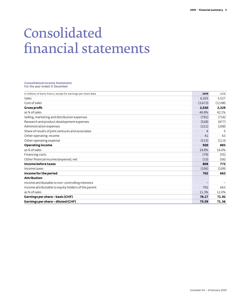### Consolidated financial statements

### **Consolidated Income Statement** For the year ended 31 December

| in millions of Swiss francs, except for earnings per share data | 2019    | 2018    |
|-----------------------------------------------------------------|---------|---------|
| Sales                                                           | 6,203   | 5,527   |
| Cost of sales                                                   | (3,673) | (3,198) |
| <b>Gross profit</b>                                             | 2,530   | 2,329   |
| as % of sales                                                   | 40.8%   | 42.1%   |
| Selling, marketing and distribution expenses                    | (791)   | (716)   |
| Research and product development expenses                       | (528)   | (477)   |
| Administration expenses                                         | (221)   | (208)   |
| Share of results of joint ventures and associates               | 4       | 5       |
| Other operating income                                          | 41      | 63      |
| Other operating expense                                         | (115)   | (113)   |
| <b>Operating income</b>                                         | 920     | 883     |
| as % of sales                                                   | 14.8%   | 16.0%   |
| Financing costs                                                 | (79)    | (55)    |
| Other financial income (expense), net                           | (33)    | (56)    |
| Income before taxes                                             | 808     | 772     |
| Income taxes                                                    | (106)   | (109)   |
| Income for the period                                           | 702     | 663     |
| <b>Attribution</b>                                              |         |         |
| Income attributable to non-controlling interests                |         |         |
| Income attributable to equity holders of the parent             | 702     | 663     |
| as % of sales                                                   | 11.3%   | 12.0%   |
| Earnings per share - basic (CHF)                                | 76.17   | 71.92   |
| Earnings per share - diluted (CHF)                              | 75.59   | 71.36   |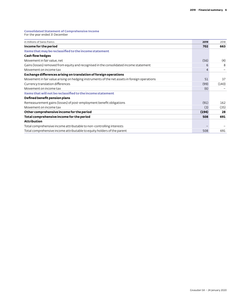### **Consolidated Statement of Comprehensive Income**

| For the year ended 31 December |  |
|--------------------------------|--|
|--------------------------------|--|

| in millions of Swiss francs                                                                   | 2019  | 2018  |
|-----------------------------------------------------------------------------------------------|-------|-------|
| Income for the period                                                                         | 702   | 663   |
| Items that may be reclassified to the income statement                                        |       |       |
| <b>Cash flow hedges</b>                                                                       |       |       |
| Movement in fair value, net                                                                   | (56)  | (4)   |
| Gains (losses) removed from equity and recognised in the consolidated income statement        | 6     | 8     |
| Movement on income tax                                                                        | 4     |       |
| Exchange differences arising on translation of foreign operations                             |       |       |
| Movement in fair value arising on hedging instruments of the net assets in foreign operations | 51    | 37    |
| Currency translation differences                                                              | (99)  | (140) |
| Movement on income tax                                                                        | (6)   |       |
| Items that will not be reclassified to the income statement                                   |       |       |
| Defined benefit pension plans                                                                 |       |       |
| Remeasurement gains (losses) of post-employment benefit obligations                           | (91)  | 162   |
| Movement on income tax                                                                        | (3)   | (35)  |
| Other comprehensive income for the period                                                     | (194) | 28    |
| Total comprehensive income for the period                                                     | 508   | 691   |
| <b>Attribution</b>                                                                            |       |       |
| Total comprehensive income attributable to non-controlling interests                          |       |       |
| Total comprehensive income attributable to equity holders of the parent                       | 508   | 691   |
|                                                                                               |       |       |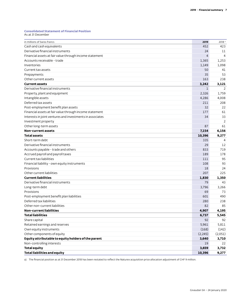### **Consolidated Statement of Financial Position**

As at 31 December

| in millions of Swiss francs                               | 2019           | 2018 <sup>a</sup> |
|-----------------------------------------------------------|----------------|-------------------|
| Cash and cash equivalents                                 | 452            | 423               |
| Derivative financial instruments                          | 24             | 11                |
| Financial assets at fair value through income statement   | $\overline{4}$ | 4                 |
| Accounts receivable - trade                               | 1,365          | 1,253             |
| Inventories                                               | 1,149          | 1,098             |
| Current tax assets                                        | 50             | 41                |
| Prepayments                                               | 35             | 53                |
| Other current assets                                      | 163            | 238               |
| <b>Current assets</b>                                     | 3,242          | 3,121             |
| Derivative financial instruments                          | $\mathbf 1$    | 2                 |
| Property, plant and equipment                             | 2,326          | 1,759             |
| Intangible assets                                         | 4,286          | 4,008             |
| Deferred tax assets                                       | 211            | 208               |
| Post-employment benefit plan assets                       | 32             | 22                |
| Financial assets at fair value through income statement   | 177            | 61                |
| Interests in joint ventures and investments in associates | 34             | 33                |
| Investment property                                       |                | 2                 |
| Other long-term assets                                    | 87             | 61                |
| Non-current assets                                        | 7,154          | 6,156             |
| <b>Total assets</b>                                       | 10,396         | 9,277             |
| Short-term debt                                           | 335            | 4                 |
| Derivative financial instruments                          | 29             | 12                |
| Accounts payable - trade and others                       | 833            | 719               |
| Accrued payroll and payroll taxes                         | 189            | 178               |
| Current tax liabilities                                   | 111            | 95                |
| Financial liability - own equity instruments              | 108            | 93                |
| Provisions                                                | 18             | 24                |
| Other current liabilities                                 | 207            | 225               |
| <b>Current liabilities</b>                                | 1,830          | 1,350             |
| Derivative financial instruments                          | 79             | 43                |
| Long-term debt                                            | 3,796          | 3,266             |
| Provisions                                                | 69             | 73                |
| Post-employment benefit plan liabilities                  | 601            | 490               |
| Deferred tax liabilities                                  | 280            | 238               |
| Other non-current liabilities                             | 82             | 85                |
| <b>Non-current liabilities</b>                            | 4,907          | 4,195             |
| <b>Total liabilities</b>                                  | 6,737          | 5,545             |
| Share capital                                             | 92             | 92                |
| Retained earnings and reserves                            | 5,961          | 5,811             |
| Own equity instruments                                    | (168)          | (142)             |
| Other components of equity                                | (2, 245)       | (2,051)           |
| Equity attributable to equity holders of the parent       | 3,640          | 3,710             |
| Non-controlling interests                                 | 19             | 22                |
| <b>Total equity</b>                                       | 3,659          | 3,732             |
| <b>Total liabilities and equity</b>                       | 10,396         | 9,277             |

a) The financial position as at 31 December 2018 has been restated to reflect the Naturex acquisition price allocation adjustment of CHF 9 million.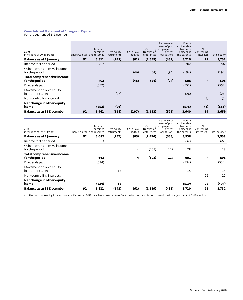### **Consolidated Statement of Changes in Equity** For the year ended 31 December

**2019** in millions of Swiss francs Retained earnings Share Capital and reserves Own equity instruments Cash flow hedges Currency translation differences Remeasurement of post attributable employment benefit obligations **Equity** to equity holders of the parents Noncontrolling Total equity **Balance as at 1 January 92 5,811 (142) (61) (1,559) (431) 3,710 22 3,732**  Income for the period 702 702 – 702 Other comprehensive income for the period (46) (54) (94) (194) (194) **Total comprehensive income for the period 702 (46) (54) (94) 508 – 508**  Dividends paid (552) (552) (552) Movement on own equity instruments, net (26) (26) (26) Non-controlling interests (3) (3) **Net change in other equity items (552) (26) (578) (3) (581) Balance as at 31 December 92 5,961 (168) (107) (1,613) (525) 3,640 19 3,659** 

| <b>Balance as at 31 December</b>             | 92            | 5,811                                | (142)                     | (61)                | (1,559)                                | (431)                                                              | 3,710                                                            | 22                                            | 3,732          |
|----------------------------------------------|---------------|--------------------------------------|---------------------------|---------------------|----------------------------------------|--------------------------------------------------------------------|------------------------------------------------------------------|-----------------------------------------------|----------------|
| Net change in other equity<br>items          |               | (534)                                | 15                        |                     |                                        |                                                                    | (519)                                                            | 22                                            | (497)          |
| Non-controlling interests                    |               |                                      |                           |                     |                                        |                                                                    |                                                                  | 22                                            | 22             |
| Movement on own equity<br>instruments, net   |               |                                      | 15                        |                     |                                        |                                                                    | 15                                                               |                                               | 15             |
| Dividends paid                               |               | (534)                                |                           |                     |                                        |                                                                    | (534)                                                            |                                               | (534)          |
| Total comprehensive income<br>for the period |               | 663                                  |                           | 4                   | (103)                                  | 127                                                                | 691                                                              |                                               | 691            |
| Other comprehensive income<br>for the period |               |                                      |                           | 4                   | (103)                                  | 127                                                                | 28                                                               |                                               | 28             |
| Income for the period                        |               | 663                                  |                           |                     |                                        |                                                                    | 663                                                              | $\overline{\phantom{0}}$                      | 663            |
| Balance as at 1 January                      | 92            | 5,682                                | (157)                     | (65)                | (1, 456)                               | (558)                                                              | 3,538                                                            |                                               | 3,538          |
| 2018<br>in millions of Swiss francs          | Share Capital | Retained<br>earnings<br>and reserves | Own equity<br>instruments | Cash flow<br>hedges | Currency<br>translation<br>differences | Remeasure-<br>ment of post<br>employment<br>benefit<br>obligations | Equity<br>attributable<br>to equity<br>holders of<br>the parents | Non-<br>controlling<br>interests <sup>a</sup> | Total equity a |

a) The non-controlling interests as at 31 December 2018 have been restated to reflect the Naturex acquisition price allocation adjustment of CHF 9 million.